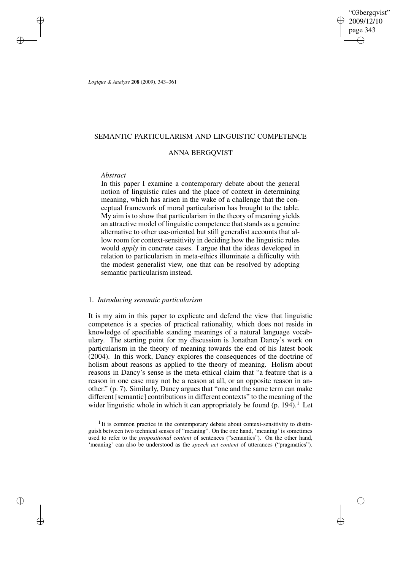"03bergqvist" 2009/12/10 page 343 ✐ ✐

✐

✐

*Logique & Analyse* **208** (2009), 343–361

## SEMANTIC PARTICULARISM AND LINGUISTIC COMPETENCE

## ANNA BERGQVIST

## *Abstract*

✐

✐

✐

✐

In this paper I examine a contemporary debate about the general notion of linguistic rules and the place of context in determining meaning, which has arisen in the wake of a challenge that the conceptual framework of moral particularism has brought to the table. My aim is to show that particularism in the theory of meaning yields an attractive model of linguistic competence that stands as a genuine alternative to other use-oriented but still generalist accounts that allow room for context-sensitivity in deciding how the linguistic rules would *apply* in concrete cases. I argue that the ideas developed in relation to particularism in meta-ethics illuminate a difficulty with the modest generalist view, one that can be resolved by adopting semantic particularism instead.

## 1. *Introducing semantic particularism*

It is my aim in this paper to explicate and defend the view that linguistic competence is a species of practical rationality, which does not reside in knowledge of specifiable standing meanings of a natural language vocabulary. The starting point for my discussion is Jonathan Dancy's work on particularism in the theory of meaning towards the end of his latest book (2004). In this work, Dancy explores the consequences of the doctrine of holism about reasons as applied to the theory of meaning. Holism about reasons in Dancy's sense is the meta-ethical claim that "a feature that is a reason in one case may not be a reason at all, or an opposite reason in another." (p. 7). Similarly, Dancy argues that "one and the same term can make different [semantic] contributions in different contexts" to the meaning of the wider linguistic whole in which it can appropriately be found  $(p. 194)$ .<sup>1</sup> Let

 $<sup>1</sup>$  It is common practice in the contemporary debate about context-sensitivity to distin-</sup> guish between two technical senses of "meaning". On the one hand, 'meaning' is sometimes used to refer to the *propositional content* of sentences ("semantics"). On the other hand, 'meaning' can also be understood as the *speech act content* of utterances ("pragmatics").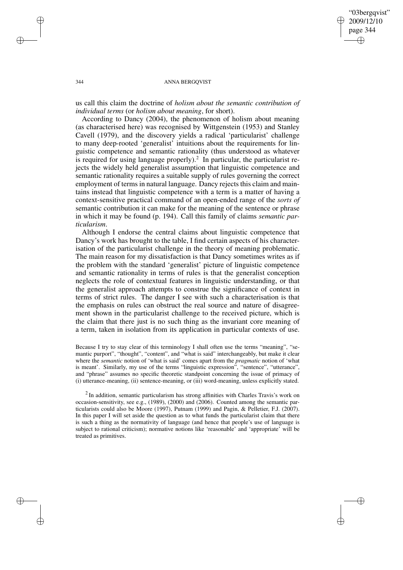"03bergqvist" 2009/12/10 page 344 ✐ ✐

✐

✐

### 344 ANNA BERGQVIST

us call this claim the doctrine of *holism about the semantic contribution of individual terms* (or *holism about meaning*, for short).

According to Dancy (2004), the phenomenon of holism about meaning (as characterised here) was recognised by Wittgenstein (1953) and Stanley Cavell (1979), and the discovery yields a radical 'particularist' challenge to many deep-rooted 'generalist' intuitions about the requirements for linguistic competence and semantic rationality (thus understood as whatever is required for using language properly).<sup>2</sup> In particular, the particularist rejects the widely held generalist assumption that linguistic competence and semantic rationality requires a suitable supply of rules governing the correct employment of terms in natural language. Dancy rejects this claim and maintains instead that linguistic competence with a term is a matter of having a context-sensitive practical command of an open-ended range of the *sorts of* semantic contribution it can make for the meaning of the sentence or phrase in which it may be found (p. 194). Call this family of claims *semantic particularism*.

Although I endorse the central claims about linguistic competence that Dancy's work has brought to the table, I find certain aspects of his characterisation of the particularist challenge in the theory of meaning problematic. The main reason for my dissatisfaction is that Dancy sometimes writes as if the problem with the standard 'generalist' picture of linguistic competence and semantic rationality in terms of rules is that the generalist conception neglects the role of contextual features in linguistic understanding, or that the generalist approach attempts to construe the significance of context in terms of strict rules. The danger I see with such a characterisation is that the emphasis on rules can obstruct the real source and nature of disagreement shown in the particularist challenge to the received picture, which is the claim that there just is no such thing as the invariant core meaning of a term, taken in isolation from its application in particular contexts of use.

Because I try to stay clear of this terminology I shall often use the terms "meaning", "semantic purport", "thought", "content", and "what is said" interchangeably, but make it clear where the *semantic* notion of 'what is said' comes apart from the *pragmatic* notion of 'what is meant'. Similarly, my use of the terms "linguistic expression", "sentence", "utterance", and "phrase" assumes no specific theoretic standpoint concerning the issue of primacy of (i) utterance-meaning, (ii) sentence-meaning, or (iii) word-meaning, unless explicitly stated.

 $2$ In addition, semantic particularism has strong affinities with Charles Travis's work on occasion-sensitivity, see e.g., (1989), (2000) and (2006). Counted among the semantic particularists could also be Moore (1997), Putnam (1999) and Pagin, & Pelletier, F.J. (2007). In this paper I will set aside the question as to what funds the particularist claim that there is such a thing as the normativity of language (and hence that people's use of language is subject to rational criticism); normative notions like 'reasonable' and 'appropriate' will be treated as primitives.

✐

✐

✐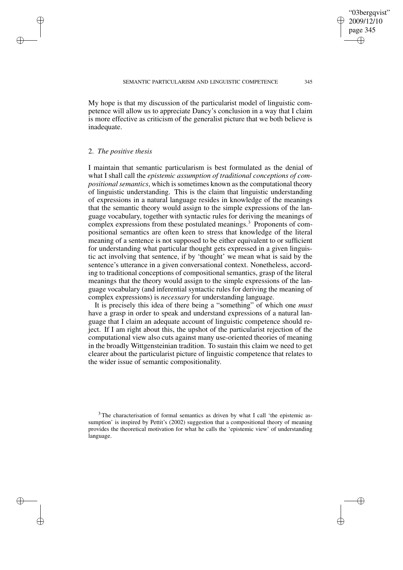My hope is that my discussion of the particularist model of linguistic competence will allow us to appreciate Dancy's conclusion in a way that I claim is more effective as criticism of the generalist picture that we both believe is inadequate.

### 2. *The positive thesis*

✐

✐

✐

✐

I maintain that semantic particularism is best formulated as the denial of what I shall call the *epistemic assumption of traditional conceptions of compositionalsemantics*, which issometimes known asthe computational theory of linguistic understanding. This is the claim that linguistic understanding of expressions in a natural language resides in knowledge of the meanings that the semantic theory would assign to the simple expressions of the language vocabulary, together with syntactic rules for deriving the meanings of complex expressions from these postulated meanings.<sup>3</sup> Proponents of compositional semantics are often keen to stress that knowledge of the literal meaning of a sentence is not supposed to be either equivalent to or sufficient for understanding what particular thought gets expressed in a given linguistic act involving that sentence, if by 'thought' we mean what is said by the sentence's utterance in a given conversational context. Nonetheless, according to traditional conceptions of compositional semantics, grasp of the literal meanings that the theory would assign to the simple expressions of the language vocabulary (and inferential syntactic rules for deriving the meaning of complex expressions) is *necessary* for understanding language.

It is precisely this idea of there being a "something" of which one *must* have a grasp in order to speak and understand expressions of a natural language that I claim an adequate account of linguistic competence should reject. If I am right about this, the upshot of the particularist rejection of the computational view also cuts against many use-oriented theories of meaning in the broadly Wittgensteinian tradition. To sustain this claim we need to get clearer about the particularist picture of linguistic competence that relates to the wider issue of semantic compositionality.

"03bergqvist" 2009/12/10 page 345

✐

✐

✐

<sup>&</sup>lt;sup>3</sup> The characterisation of formal semantics as driven by what I call 'the epistemic assumption' is inspired by Pettit's (2002) suggestion that a compositional theory of meaning provides the theoretical motivation for what he calls the 'epistemic view' of understanding language.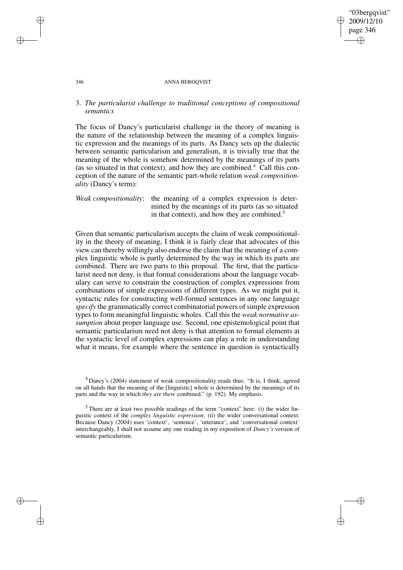✐

#### 346 ANNA BERGQVIST

# 3. *The particularist challenge to traditional conceptions of compositional semantics*

The focus of Dancy's particularist challenge in the theory of meaning is the nature of the relationship between the meaning of a complex linguistic expression and the meanings of its parts. As Dancy sets up the dialectic between semantic particularism and generalism, it is trivially true that the meaning of the whole is somehow determined by the meanings of its parts (as so situated in that context), and how they are combined. $4$  Call this conception of the nature of the semantic part-whole relation *weak compositionality* (Dancy's term):

# *Weak compositionality*: the meaning of a complex expression is determined by the meanings of its parts (as so situated in that context), and how they are combined.<sup>5</sup>

Given that semantic particularism accepts the claim of weak compositionality in the theory of meaning, I think it is fairly clear that advocates of this view can thereby willingly also endorse the claim that the meaning of a complex linguistic whole is partly determined by the way in which its parts are combined. There are two parts to this proposal. The first, that the particularist need not deny, is that formal considerations about the language vocabulary can serve to constrain the construction of complex expressions from combinations of simple expressions of different types. As we might put it, syntactic rules for constructing well-formed sentences in any one language *specify* the grammatically correct combinatorial powers of simple expression types to form meaningful linguistic wholes. Call this the *weak normative assumption* about proper language use. Second, one epistemological point that semantic particularism need not deny is that attention to formal elements at the syntactic level of complex expressions can play a role in understanding what it means, for example where the sentence in question is syntactically

✐

✐

✐

<sup>4</sup> Dancy's (2004) statement of weak compositionality reads thus: "It is, I think, agreed on all hands that the meaning of the [linguistic] whole is determined by the meanings of its parts and the way in which *they are there* combined." (p. 192). My emphasis.

 $5$  There are at least two possible readings of the term "context" here: (i) the wider linguistic context of the *complex linguistic expression*; (ii) the wider conversational context. Because Dancy (2004) uses 'context', 'sentence', 'utterance', and 'conversational context' interchangeably, I shall not assume any one reading in my exposition of *Dancy's* version of semantic particularism.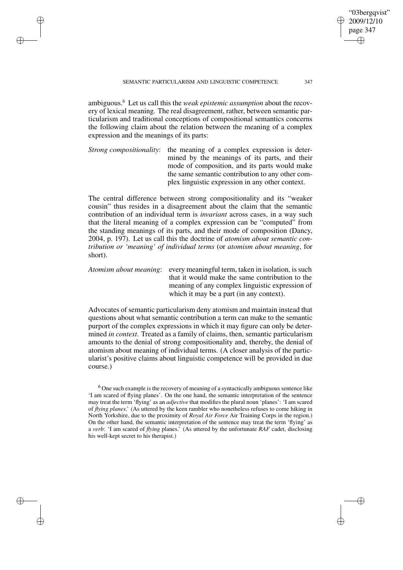✐

✐

✐

ambiguous.<sup>6</sup> Let us call this the *weak epistemic assumption* about the recovery of lexical meaning. The real disagreement, rather, between semantic particularism and traditional conceptions of compositional semantics concerns the following claim about the relation between the meaning of a complex expression and the meanings of its parts:

*Strong compositionality*: the meaning of a complex expression is determined by the meanings of its parts, and their mode of composition, and its parts would make the same semantic contribution to any other complex linguistic expression in any other context.

The central difference between strong compositionality and its "weaker cousin" thus resides in a disagreement about the claim that the semantic contribution of an individual term is *invariant* across cases, in a way such that the literal meaning of a complex expression can be "computed" from the standing meanings of its parts, and their mode of composition (Dancy, 2004, p. 197). Let us call this the doctrine of *atomism about semantic contribution or 'meaning' of individual terms* (or *atomism about meaning*, for short).

*Atomism about meaning*: every meaningful term, taken in isolation, is such that it would make the same contribution to the meaning of any complex linguistic expression of which it may be a part (in any context).

Advocates of semantic particularism deny atomism and maintain instead that questions about what semantic contribution a term can make to the semantic purport of the complex expressions in which it may figure can only be determined *in context*. Treated as a family of claims, then, semantic particularism amounts to the denial of strong compositionality and, thereby, the denial of atomism about meaning of individual terms. (A closer analysis of the particularist's positive claims about linguistic competence will be provided in due course.)

"03bergqvist" 2009/12/10 page 347

✐

✐

✐

 $6$  One such example is the recovery of meaning of a syntactically ambiguous sentence like 'I am scared of flying planes'. On the one hand, the semantic interpretation of the sentence may treat the term 'flying' as an *adjective* that modifies the plural noun 'planes': 'I am scared of *flying planes*.' (As uttered by the keen rambler who nonetheless refuses to come hiking in North Yorkshire, due to the proximity of *Royal Air Force* Air Training Corps in the region.) On the other hand, the semantic interpretation of the sentence may treat the term 'flying' as a *verb*: 'I am scared of *flying* planes.' (As uttered by the unfortunate *RAF* cadet, disclosing his well-kept secret to his therapist.)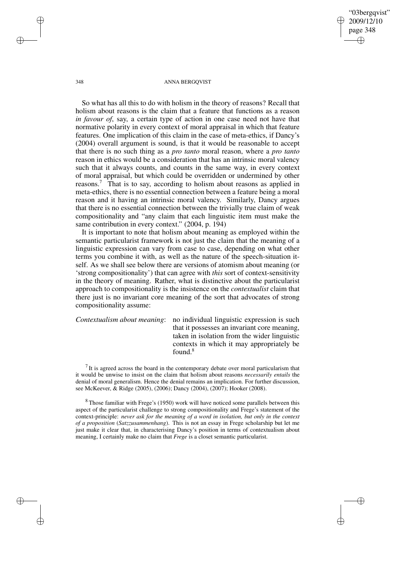"03bergqvist" 2009/12/10 page 348 ✐ ✐

✐

✐

#### 348 ANNA BERGQVIST

So what has all this to do with holism in the theory of reasons? Recall that holism about reasons is the claim that a feature that functions as a reason *in favour of*, say, a certain type of action in one case need not have that normative polarity in every context of moral appraisal in which that feature features. One implication of this claim in the case of meta-ethics, if Dancy's (2004) overall argument is sound, is that it would be reasonable to accept that there is no such thing as a *pro tanto* moral reason, where a *pro tanto* reason in ethics would be a consideration that has an intrinsic moral valency such that it always counts, and counts in the same way, in every context of moral appraisal, but which could be overridden or undermined by other reasons.<sup>7</sup> That is to say, according to holism about reasons as applied in meta-ethics, there is no essential connection between a feature being a moral reason and it having an intrinsic moral valency. Similarly, Dancy argues that there is no essential connection between the trivially true claim of weak compositionality and "any claim that each linguistic item must make the same contribution in every context." (2004, p. 194)

It is important to note that holism about meaning as employed within the semantic particularist framework is not just the claim that the meaning of a linguistic expression can vary from case to case, depending on what other terms you combine it with, as well as the nature of the speech-situation itself. As we shall see below there are versions of atomism about meaning (or 'strong compositionality') that can agree with *this* sort of context-sensitivity in the theory of meaning. Rather, what is distinctive about the particularist approach to compositionality is the insistence on the *contextualist* claim that there just is no invariant core meaning of the sort that advocates of strong compositionality assume:

*Contextualism about meaning*: no individual linguistic expression is such that it possesses an invariant core meaning, taken in isolation from the wider linguistic contexts in which it may appropriately be found.<sup>8</sup>

 $<sup>7</sup>$  It is agreed across the board in the contemporary debate over moral particularism that</sup> it would be unwise to insist on the claim that holism about reasons *necessarily entails* the denial of moral generalism. Hence the denial remains an implication. For further discussion, see McKeever, & Ridge (2005), (2006); Dancy (2004), (2007); Hooker (2008).

<sup>8</sup> Those familiar with Frege's (1950) work will have noticed some parallels between this aspect of the particularist challenge to strong compositionality and Frege's statement of the context-principle: *never ask for the meaning of a word in isolation, but only in the context of a proposition* (*Satzzusammenhang*). This is not an essay in Frege scholarship but let me just make it clear that, in characterising Dancy's position in terms of contextualism about meaning, I certainly make no claim that *Frege* is a closet semantic particularist.

✐

✐

✐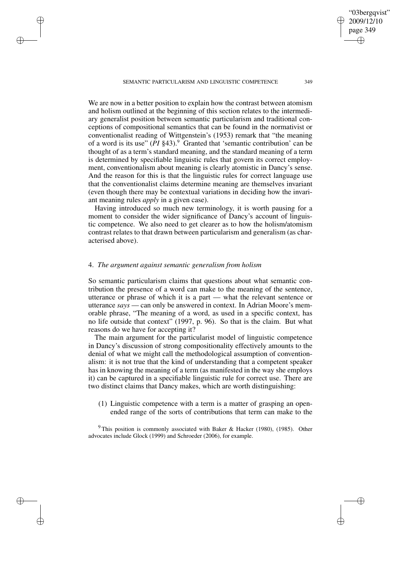SEMANTIC PARTICULARISM AND LINGUISTIC COMPETENCE 349

✐

✐

✐

✐

We are now in a better position to explain how the contrast between atomism and holism outlined at the beginning of this section relates to the intermediary generalist position between semantic particularism and traditional conceptions of compositional semantics that can be found in the normativist or conventionalist reading of Wittgenstein's (1953) remark that "the meaning of a word is its use"  $(PI \, §43)$ .<sup>9</sup> Granted that 'semantic contribution' can be thought of as a term's standard meaning, and the standard meaning of a term is determined by specifiable linguistic rules that govern its correct employment, conventionalism about meaning is clearly atomistic in Dancy's sense. And the reason for this is that the linguistic rules for correct language use that the conventionalist claims determine meaning are themselves invariant (even though there may be contextual variations in deciding how the invariant meaning rules *apply* in a given case).

Having introduced so much new terminology, it is worth pausing for a moment to consider the wider significance of Dancy's account of linguistic competence. We also need to get clearer as to how the holism/atomism contrast relates to that drawn between particularism and generalism (as characterised above).

## 4. *The argument against semantic generalism from holism*

So semantic particularism claims that questions about what semantic contribution the presence of a word can make to the meaning of the sentence, utterance or phrase of which it is a part — what the relevant sentence or utterance *says* — can only be answered in context. In Adrian Moore's memorable phrase, "The meaning of a word, as used in a specific context, has no life outside that context" (1997, p. 96). So that is the claim. But what reasons do we have for accepting it?

The main argument for the particularist model of linguistic competence in Dancy's discussion of strong compositionality effectively amounts to the denial of what we might call the methodological assumption of conventionalism: it is not true that the kind of understanding that a competent speaker has in knowing the meaning of a term (as manifested in the way she employs it) can be captured in a specifiable linguistic rule for correct use. There are two distinct claims that Dancy makes, which are worth distinguishing:

(1) Linguistic competence with a term is a matter of grasping an openended range of the sorts of contributions that term can make to the

<sup>9</sup> This position is commonly associated with Baker & Hacker (1980), (1985). Other advocates include Glock (1999) and Schroeder (2006), for example.

"03bergqvist" 2009/12/10 page 349

✐

✐

✐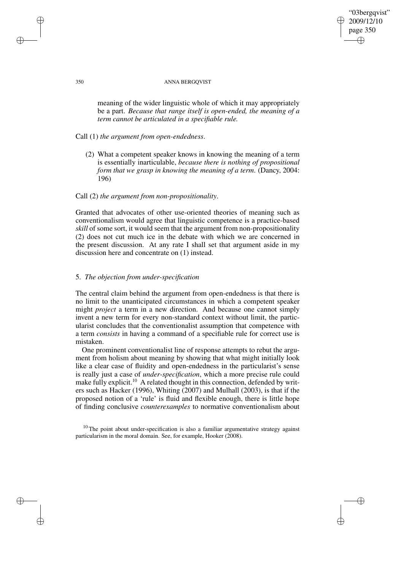## "03bergqvist" 2009/12/10 page 350 ✐ ✐

✐

✐

### 350 ANNA BERGQVIST

meaning of the wider linguistic whole of which it may appropriately be a part. *Because that range itself is open-ended, the meaning of a term cannot be articulated in a specifiable rule.*

# Call (1) *the argument from open-endedness*.

(2) What a competent speaker knows in knowing the meaning of a term is essentially inarticulable, *because there is nothing of propositional form that we grasp in knowing the meaning of a term*. (Dancy, 2004: 196)

# Call (2) *the argument from non-propositionality*.

Granted that advocates of other use-oriented theories of meaning such as conventionalism would agree that linguistic competence is a practice-based *skill* of some sort, it would seem that the argument from non-propositionality (2) does not cut much ice in the debate with which we are concerned in the present discussion. At any rate I shall set that argument aside in my discussion here and concentrate on (1) instead.

## 5. *The objection from under-specification*

The central claim behind the argument from open-endedness is that there is no limit to the unanticipated circumstances in which a competent speaker might *project* a term in a new direction. And because one cannot simply invent a new term for every non-standard context without limit, the particularist concludes that the conventionalist assumption that competence with a term *consists* in having a command of a specifiable rule for correct use is mistaken.

One prominent conventionalist line of response attempts to rebut the argument from holism about meaning by showing that what might initially look like a clear case of fluidity and open-endedness in the particularist's sense is really just a case of *under-specification*, which a more precise rule could make fully explicit.<sup>10</sup> A related thought in this connection, defended by writers such as Hacker (1996), Whiting (2007) and Mulhall (2003), is that if the proposed notion of a 'rule' is fluid and flexible enough, there is little hope of finding conclusive *counterexamples* to normative conventionalism about

 $10$  The point about under-specification is also a familiar argumentative strategy against particularism in the moral domain. See, for example, Hooker (2008).

✐

✐

✐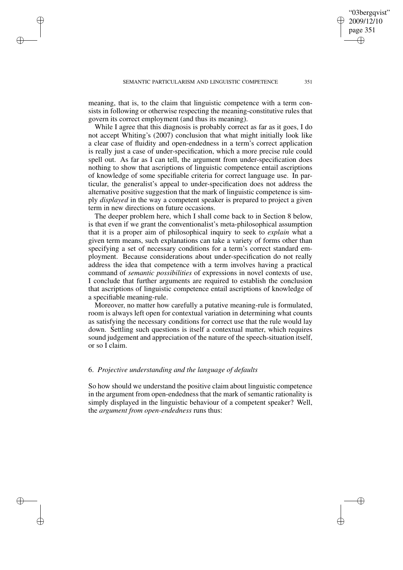✐

✐

✐

meaning, that is, to the claim that linguistic competence with a term consists in following or otherwise respecting the meaning-constitutive rules that govern its correct employment (and thus its meaning).

While I agree that this diagnosis is probably correct as far as it goes, I do not accept Whiting's (2007) conclusion that what might initially look like a clear case of fluidity and open-endedness in a term's correct application is really just a case of under-specification, which a more precise rule could spell out. As far as I can tell, the argument from under-specification does nothing to show that ascriptions of linguistic competence entail ascriptions of knowledge of some specifiable criteria for correct language use. In particular, the generalist's appeal to under-specification does not address the alternative positive suggestion that the mark of linguistic competence is simply *displayed* in the way a competent speaker is prepared to project a given term in new directions on future occasions.

The deeper problem here, which I shall come back to in Section 8 below, is that even if we grant the conventionalist's meta-philosophical assumption that it is a proper aim of philosophical inquiry to seek to *explain* what a given term means, such explanations can take a variety of forms other than specifying a set of necessary conditions for a term's correct standard employment. Because considerations about under-specification do not really address the idea that competence with a term involves having a practical command of *semantic possibilities* of expressions in novel contexts of use, I conclude that further arguments are required to establish the conclusion that ascriptions of linguistic competence entail ascriptions of knowledge of a specifiable meaning-rule.

Moreover, no matter how carefully a putative meaning-rule is formulated, room is always left open for contextual variation in determining what counts as satisfying the necessary conditions for correct use that the rule would lay down. Settling such questions is itself a contextual matter, which requires sound judgement and appreciation of the nature of the speech-situation itself, or so I claim.

## 6. *Projective understanding and the language of defaults*

So how should we understand the positive claim about linguistic competence in the argument from open-endedness that the mark of semantic rationality is simply displayed in the linguistic behaviour of a competent speaker? Well, the *argument from open-endedness* runs thus:

"03bergqvist" 2009/12/10 page 351

✐

✐

✐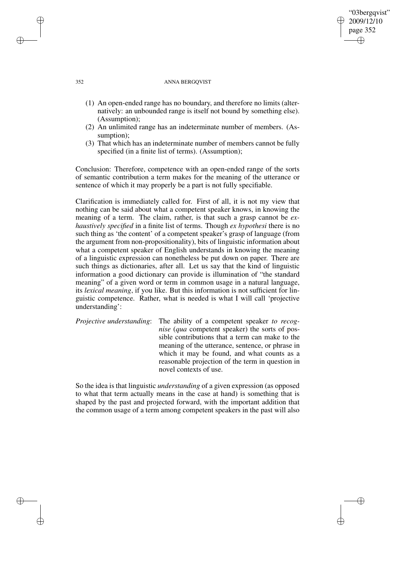## "03bergqvist" 2009/12/10 page 352 ✐ ✐

✐

✐

### 352 ANNA BERGQVIST

- (1) An open-ended range has no boundary, and therefore no limits (alternatively: an unbounded range is itself not bound by something else). (Assumption);
- (2) An unlimited range has an indeterminate number of members. (Assumption);
- (3) That which has an indeterminate number of members cannot be fully specified (in a finite list of terms). (Assumption);

Conclusion: Therefore, competence with an open-ended range of the sorts of semantic contribution a term makes for the meaning of the utterance or sentence of which it may properly be a part is not fully specifiable.

Clarification is immediately called for. First of all, it is not my view that nothing can be said about what a competent speaker knows, in knowing the meaning of a term. The claim, rather, is that such a grasp cannot be *exhaustively specified* in a finite list of terms. Though *ex hypothesi* there is no such thing as 'the content' of a competent speaker's grasp of language (from the argument from non-propositionality), bits of linguistic information about what a competent speaker of English understands in knowing the meaning of a linguistic expression can nonetheless be put down on paper. There are such things as dictionaries, after all. Let us say that the kind of linguistic information a good dictionary can provide is illumination of "the standard meaning" of a given word or term in common usage in a natural language, its *lexical meaning*, if you like. But this information is not sufficient for linguistic competence. Rather, what is needed is what I will call 'projective understanding':

*Projective understanding*: The ability of a competent speaker *to recognise* (*qua* competent speaker) the sorts of possible contributions that a term can make to the meaning of the utterance, sentence, or phrase in which it may be found, and what counts as a reasonable projection of the term in question in novel contexts of use.

So the idea is that linguistic *understanding* of a given expression (as opposed to what that term actually means in the case at hand) is something that is shaped by the past and projected forward, with the important addition that the common usage of a term among competent speakers in the past will also

✐

✐

✐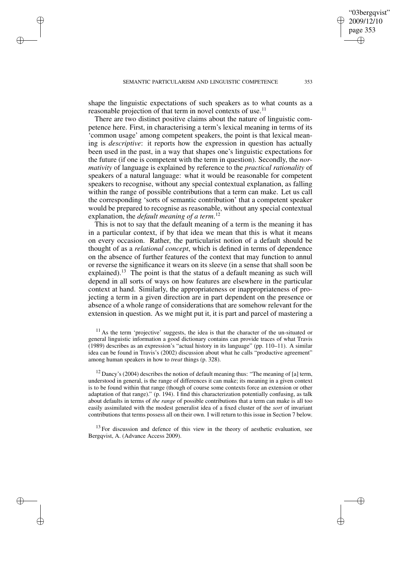✐

✐

✐

shape the linguistic expectations of such speakers as to what counts as a reasonable projection of that term in novel contexts of use.<sup>11</sup>

There are two distinct positive claims about the nature of linguistic competence here. First, in characterising a term's lexical meaning in terms of its 'common usage' among competent speakers, the point is that lexical meaning is *descriptive*: it reports how the expression in question has actually been used in the past, in a way that shapes one's linguistic expectations for the future (if one is competent with the term in question). Secondly, the *normativity* of language is explained by reference to the *practical rationality* of speakers of a natural language: what it would be reasonable for competent speakers to recognise, without any special contextual explanation, as falling within the range of possible contributions that a term can make. Let us call the corresponding 'sorts of semantic contribution' that a competent speaker would be prepared to recognise as reasonable, without any special contextual explanation, the *default meaning of a term*. 12

This is not to say that the default meaning of a term is the meaning it has in a particular context, if by that idea we mean that this is what it means on every occasion. Rather, the particularist notion of a default should be thought of as a *relational concept*, which is defined in terms of dependence on the absence of further features of the context that may function to annul or reverse the significance it wears on its sleeve (in a sense that shall soon be explained).<sup>13</sup> The point is that the status of a default meaning as such will depend in all sorts of ways on how features are elsewhere in the particular context at hand. Similarly, the appropriateness or inappropriateness of projecting a term in a given direction are in part dependent on the presence or absence of a whole range of considerations that are somehow relevant for the extension in question. As we might put it, it is part and parcel of mastering a

 $13$  For discussion and defence of this view in the theory of aesthetic evaluation, see Bergqvist, A. (Advance Access 2009).

"03bergqvist" 2009/12/10 page 353

✐

✐

✐

 $11$  As the term 'projective' suggests, the idea is that the character of the un-situated or general linguistic information a good dictionary contains can provide traces of what Travis (1989) describes as an expression's "actual history in its language" (pp. 110–11). A similar idea can be found in Travis's (2002) discussion about what he calls "productive agreement" among human speakers in how to *treat* things (p. 328).

 $12$  Dancy's (2004) describes the notion of default meaning thus: "The meaning of [a] term, understood in general, is the range of differences it can make; its meaning in a given context is to be found within that range (though of course some contexts force an extension or other adaptation of that range)." (p. 194). I find this characterization potentially confusing, as talk about defaults in terms of *the range* of possible contributions that a term can make is all too easily assimilated with the modest generalist idea of a fixed cluster of the *sort* of invariant contributions that terms possess all on their own. I will return to this issue in Section 7 below.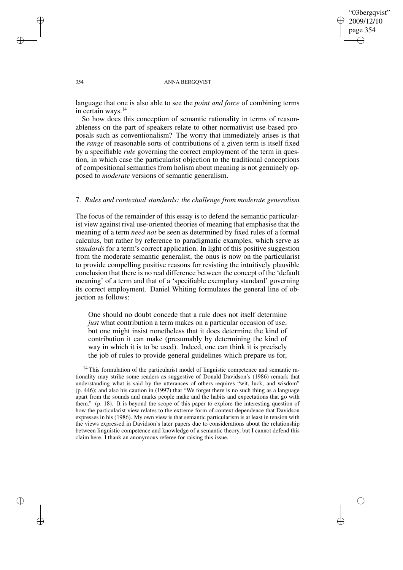✐

### 354 ANNA BERGQVIST

language that one is also able to see the *point and force* of combining terms in certain ways.<sup>14</sup>

So how does this conception of semantic rationality in terms of reasonableness on the part of speakers relate to other normativist use-based proposals such as conventionalism? The worry that immediately arises is that the *range* of reasonable sorts of contributions of a given term is itself fixed by a specifiable *rule* governing the correct employment of the term in question, in which case the particularist objection to the traditional conceptions of compositional semantics from holism about meaning is not genuinely opposed to *moderate* versions of semantic generalism.

## 7. *Rules and contextual standards: the challenge from moderate generalism*

The focus of the remainder of this essay is to defend the semantic particularist view against rival use-oriented theories of meaning that emphasise that the meaning of a term *need not* be seen as determined by fixed rules of a formal calculus, but rather by reference to paradigmatic examples, which serve as *standards* for a term's correct application. In light of this positive suggestion from the moderate semantic generalist, the onus is now on the particularist to provide compelling positive reasons for resisting the intuitively plausible conclusion that there is no real difference between the concept of the 'default meaning' of a term and that of a 'specifiable exemplary standard' governing its correct employment. Daniel Whiting formulates the general line of objection as follows:

One should no doubt concede that a rule does not itself determine *just* what contribution a term makes on a particular occasion of use, but one might insist nonetheless that it does determine the kind of contribution it can make (presumably by determining the kind of way in which it is to be used). Indeed, one can think it is precisely the job of rules to provide general guidelines which prepare us for,

<sup>14</sup> This formulation of the particularist model of linguistic competence and semantic rationality may strike some readers as suggestive of Donald Davidson's (1986) remark that understanding what is said by the utterances of others requires "wit, luck, and wisdom" (p. 446); and also his caution in (1997) that "We forget there is no such thing as a language apart from the sounds and marks people make and the habits and expectations that go with them." (p. 18). It is beyond the scope of this paper to explore the interesting question of how the particularist view relates to the extreme form of context-dependence that Davidson expresses in his (1986). My own view is that semantic particularism is at least in tension with the views expressed in Davidson's later papers due to considerations about the relationship between linguistic competence and knowledge of a semantic theory, but I cannot defend this claim here. I thank an anonymous referee for raising this issue.

✐

✐

✐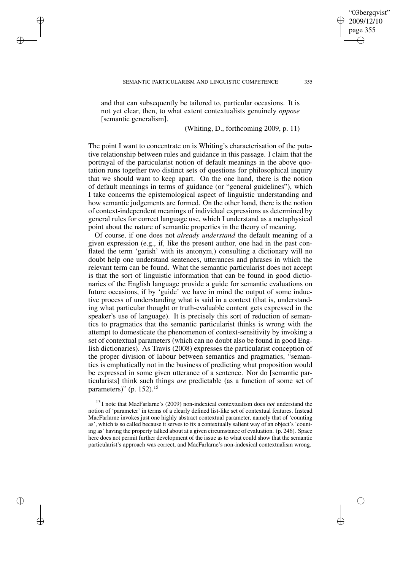✐

✐

✐

and that can subsequently be tailored to, particular occasions. It is not yet clear, then, to what extent contextualists genuinely *oppose* [semantic generalism].

(Whiting, D., forthcoming 2009, p. 11)

The point I want to concentrate on is Whiting's characterisation of the putative relationship between rules and guidance in this passage. I claim that the portrayal of the particularist notion of default meanings in the above quotation runs together two distinct sets of questions for philosophical inquiry that we should want to keep apart. On the one hand, there is the notion of default meanings in terms of guidance (or "general guidelines"), which I take concerns the epistemological aspect of linguistic understanding and how semantic judgements are formed. On the other hand, there is the notion of context-independent meanings of individual expressions as determined by general rules for correct language use, which I understand as a metaphysical point about the nature of semantic properties in the theory of meaning.

Of course, if one does not *already understand* the default meaning of a given expression (e.g., if, like the present author, one had in the past conflated the term 'garish' with its antonym,) consulting a dictionary will no doubt help one understand sentences, utterances and phrases in which the relevant term can be found. What the semantic particularist does not accept is that the sort of linguistic information that can be found in good dictionaries of the English language provide a guide for semantic evaluations on future occasions, if by 'guide' we have in mind the output of some inductive process of understanding what is said in a context (that is, understanding what particular thought or truth-evaluable content gets expressed in the speaker's use of language). It is precisely this sort of reduction of semantics to pragmatics that the semantic particularist thinks is wrong with the attempt to domesticate the phenomenon of context-sensitivity by invoking a set of contextual parameters (which can no doubt also be found in good English dictionaries). As Travis (2008) expresses the particularist conception of the proper division of labour between semantics and pragmatics, "semantics is emphatically not in the business of predicting what proposition would be expressed in some given utterance of a sentence. Nor do [semantic particularists] think such things *are* predictable (as a function of some set of parameters)" (p. 152).<sup>15</sup>

<sup>15</sup> I note that MacFarlarne's (2009) non-indexical contextualism does *not* understand the notion of 'parameter' in terms of a clearly defined list-like set of contextual features. Instead MacFarlarne invokes just one highly abstract contextual parameter, namely that of 'counting as', which is so called because it serves to fix a contextually salient way of an object's 'counting as' having the property talked about at a given circumstance of evaluation. (p. 246). Space here does not permit further development of the issue as to what could show that the semantic particularist's approach was correct, and MacFarlarne's non-indexical contextualism wrong.

"03bergqvist" 2009/12/10 page 355

✐

✐

✐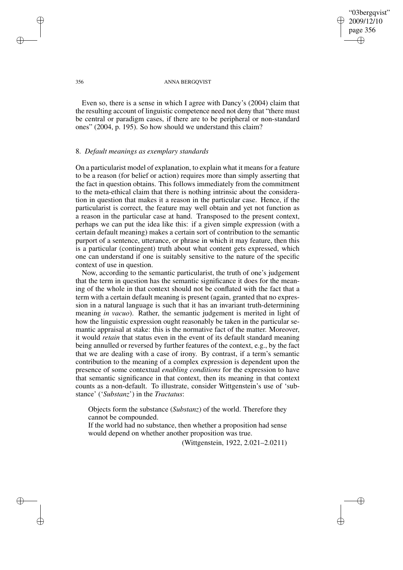"03bergqvist" 2009/12/10 page 356 ✐ ✐

✐

✐

#### 356 ANNA BERGQVIST

Even so, there is a sense in which I agree with Dancy's (2004) claim that the resulting account of linguistic competence need not deny that "there must be central or paradigm cases, if there are to be peripheral or non-standard ones" (2004, p. 195). So how should we understand this claim?

### 8. *Default meanings as exemplary standards*

On a particularist model of explanation, to explain what it meansfor a feature to be a reason (for belief or action) requires more than simply asserting that the fact in question obtains. This follows immediately from the commitment to the meta-ethical claim that there is nothing intrinsic about the consideration in question that makes it a reason in the particular case. Hence, if the particularist is correct, the feature may well obtain and yet not function as a reason in the particular case at hand. Transposed to the present context, perhaps we can put the idea like this: if a given simple expression (with a certain default meaning) makes a certain sort of contribution to the semantic purport of a sentence, utterance, or phrase in which it may feature, then this is a particular (contingent) truth about what content gets expressed, which one can understand if one is suitably sensitive to the nature of the specific context of use in question.

Now, according to the semantic particularist, the truth of one's judgement that the term in question has the semantic significance it does for the meaning of the whole in that context should not be conflated with the fact that a term with a certain default meaning is present (again, granted that no expression in a natural language is such that it has an invariant truth-determining meaning *in vacuo*). Rather, the semantic judgement is merited in light of how the linguistic expression ought reasonably be taken in the particular semantic appraisal at stake: this is the normative fact of the matter. Moreover, it would *retain* that status even in the event of its default standard meaning being annulled or reversed by further features of the context, e.g., by the fact that we are dealing with a case of irony. By contrast, if a term's semantic contribution to the meaning of a complex expression is dependent upon the presence of some contextual *enabling conditions* for the expression to have that semantic significance in that context, then its meaning in that context counts as a non-default. To illustrate, consider Wittgenstein's use of 'substance' ('*Substanz*') in the *Tractatus*:

Objects form the substance (*Substanz*) of the world. Therefore they cannot be compounded.

If the world had no substance, then whether a proposition had sense would depend on whether another proposition was true.

(Wittgenstein, 1922, 2.021–2.0211)

✐

✐

✐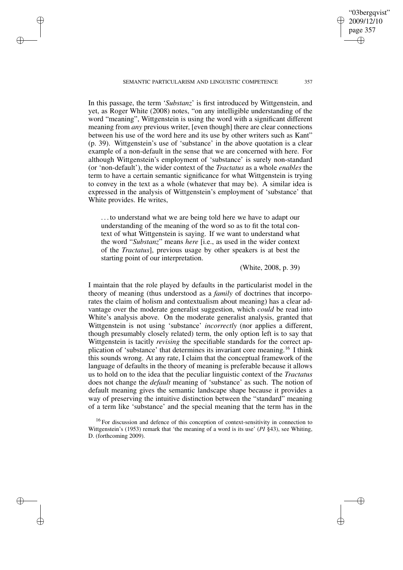SEMANTIC PARTICULARISM AND LINGUISTIC COMPETENCE 357

✐

✐

✐

✐

In this passage, the term '*Substanz*' is first introduced by Wittgenstein, and yet, as Roger White (2008) notes, "on any intelligible understanding of the word "meaning", Wittgenstein is using the word with a significant different meaning from *any* previous writer, [even though] there are clear connections between his use of the word here and its use by other writers such as Kant" (p. 39). Wittgenstein's use of 'substance' in the above quotation is a clear example of a non-default in the sense that we are concerned with here. For although Wittgenstein's employment of 'substance' is surely non-standard (or 'non-default'), the wider context of the *Tractatus* as a whole *enables* the term to have a certain semantic significance for what Wittgenstein is trying to convey in the text as a whole (whatever that may be). A similar idea is expressed in the analysis of Wittgenstein's employment of 'substance' that White provides. He writes,

. . . to understand what we are being told here we have to adapt our understanding of the meaning of the word so as to fit the total context of what Wittgenstein is saying. If we want to understand what the word "*Substanz*" means *here* [i.e., as used in the wider context of the *Tractatus*], previous usage by other speakers is at best the starting point of our interpretation.

(White, 2008, p. 39)

I maintain that the role played by defaults in the particularist model in the theory of meaning (thus understood as a *family* of doctrines that incorporates the claim of holism and contextualism about meaning) has a clear advantage over the moderate generalist suggestion, which *could* be read into White's analysis above. On the moderate generalist analysis, granted that Wittgenstein is not using 'substance' *incorrectly* (nor applies a different, though presumably closely related) term, the only option left is to say that Wittgenstein is tacitly *revising* the specifiable standards for the correct application of 'substance' that determines its invariant core meaning.<sup>16</sup> I think this sounds wrong. At any rate, I claim that the conceptual framework of the language of defaults in the theory of meaning is preferable because it allows us to hold on to the idea that the peculiar linguistic context of the *Tractatus* does not change the *default* meaning of 'substance' as such. The notion of default meaning gives the semantic landscape shape because it provides a way of preserving the intuitive distinction between the "standard" meaning of a term like 'substance' and the special meaning that the term has in the

"03bergqvist" 2009/12/10 page 357

✐

✐

✐

<sup>&</sup>lt;sup>16</sup> For discussion and defence of this conception of context-sensitivity in connection to Wittgenstein's (1953) remark that 'the meaning of a word is its use' (*PI* §43), see Whiting, D. (forthcoming 2009).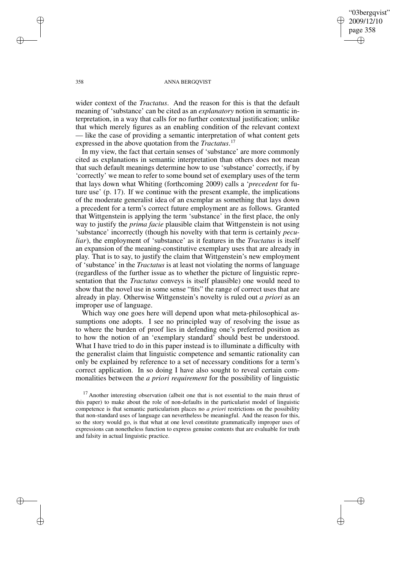"03bergqvist" 2009/12/10 page 358 ✐ ✐

✐

✐

#### 358 ANNA BERGQVIST

wider context of the *Tractatus*. And the reason for this is that the default meaning of 'substance' can be cited as an *explanatory* notion in semantic interpretation, in a way that calls for no further contextual justification; unlike that which merely figures as an enabling condition of the relevant context — like the case of providing a semantic interpretation of what content gets expressed in the above quotation from the *Tractatus*. 17

In my view, the fact that certain senses of 'substance' are more commonly cited as explanations in semantic interpretation than others does not mean that such default meanings determine how to use 'substance' correctly, if by 'correctly' we mean to refer to some bound set of exemplary uses of the term that lays down what Whiting (forthcoming 2009) calls a '*precedent* for future use' (p. 17). If we continue with the present example, the implications of the moderate generalist idea of an exemplar as something that lays down a precedent for a term's correct future employment are as follows. Granted that Wittgenstein is applying the term 'substance' in the first place, the only way to justify the *prima facie* plausible claim that Wittgenstein is not using 'substance' incorrectly (though his novelty with that term is certainly *peculiar*), the employment of 'substance' as it features in the *Tractatus* is itself an expansion of the meaning-constitutive exemplary uses that are already in play. That is to say, to justify the claim that Wittgenstein's new employment of 'substance' in the *Tractatus* is at least not violating the norms of language (regardless of the further issue as to whether the picture of linguistic representation that the *Tractatus* conveys is itself plausible) one would need to show that the novel use in some sense "fits" the range of correct uses that are already in play. Otherwise Wittgenstein's novelty is ruled out *a priori* as an improper use of language.

Which way one goes here will depend upon what meta-philosophical assumptions one adopts. I see no principled way of resolving the issue as to where the burden of proof lies in defending one's preferred position as to how the notion of an 'exemplary standard' should best be understood. What I have tried to do in this paper instead is to illuminate a difficulty with the generalist claim that linguistic competence and semantic rationality can only be explained by reference to a set of necessary conditions for a term's correct application. In so doing I have also sought to reveal certain commonalities between the *a priori requirement* for the possibility of linguistic

 $17$  Another interesting observation (albeit one that is not essential to the main thrust of this paper) to make about the role of non-defaults in the particularist model of linguistic competence is that semantic particularism places no *a priori* restrictions on the possibility that non-standard uses of language can nevertheless be meaningful. And the reason for this, so the story would go, is that what at one level constitute grammatically improper uses of expressions can nonetheless function to express genuine contents that are evaluable for truth and falsity in actual linguistic practice.

✐

✐

✐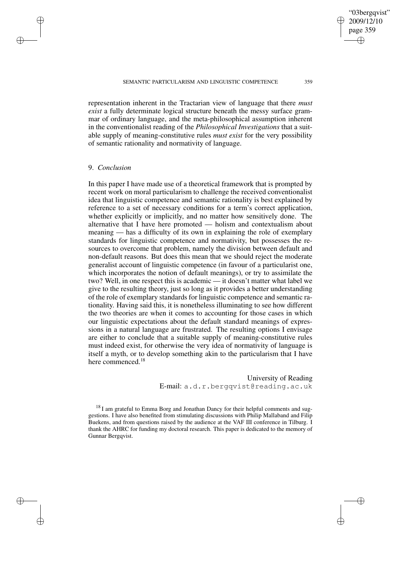2009/12/10 page 359 ✐ ✐

✐

✐

"03bergqvist"

representation inherent in the Tractarian view of language that there *must exist* a fully determinate logical structure beneath the messy surface grammar of ordinary language, and the meta-philosophical assumption inherent in the conventionalist reading of the *Philosophical Investigations* that a suitable supply of meaning-constitutive rules *must exist* for the very possibility of semantic rationality and normativity of language.

## 9. *Conclusion*

✐

✐

✐

✐

In this paper I have made use of a theoretical framework that is prompted by recent work on moral particularism to challenge the received conventionalist idea that linguistic competence and semantic rationality is best explained by reference to a set of necessary conditions for a term's correct application, whether explicitly or implicitly, and no matter how sensitively done. The alternative that I have here promoted — holism and contextualism about meaning — has a difficulty of its own in explaining the role of exemplary standards for linguistic competence and normativity, but possesses the resources to overcome that problem, namely the division between default and non-default reasons. But does this mean that we should reject the moderate generalist account of linguistic competence (in favour of a particularist one, which incorporates the notion of default meanings), or try to assimilate the two? Well, in one respect this is academic — it doesn't matter what label we give to the resulting theory, just so long as it provides a better understanding of the role of exemplary standards for linguistic competence and semantic rationality. Having said this, it is nonetheless illuminating to see how different the two theories are when it comes to accounting for those cases in which our linguistic expectations about the default standard meanings of expressions in a natural language are frustrated. The resulting options I envisage are either to conclude that a suitable supply of meaning-constitutive rules must indeed exist, for otherwise the very idea of normativity of language is itself a myth, or to develop something akin to the particularism that I have here commenced.<sup>18</sup>

> University of Reading E-mail: a.d.r.bergqvist@reading.ac.uk

 $18$  I am grateful to Emma Borg and Jonathan Dancy for their helpful comments and suggestions. I have also benefited from stimulating discussions with Philip Mallaband and Filip Buekens, and from questions raised by the audience at the VAF III conference in Tilburg. I thank the AHRC for funding my doctoral research. This paper is dedicated to the memory of Gunnar Bergqvist.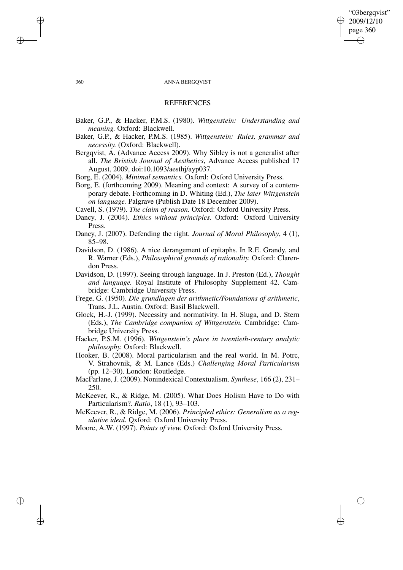## "03bergqvist" 2009/12/10 page 360 ✐ ✐

✐

✐

### 360 ANNA BERGQVIST

### **REFERENCES**

- Baker, G.P., & Hacker, P.M.S. (1980). *Wittgenstein: Understanding and meaning.* Oxford: Blackwell.
- Baker, G.P., & Hacker, P.M.S. (1985). *Wittgenstein: Rules, grammar and necessity.* (Oxford: Blackwell).
- Bergqvist, A. (Advance Access 2009). Why Sibley is not a generalist after all. *The Bristish Journal of Aesthetics*, Advance Access published 17 August, 2009, doi:10.1093/aesthj/ayp037.
- Borg, E. (2004). *Minimal semantics.* Oxford: Oxford University Press.
- Borg, E. (forthcoming 2009). Meaning and context: A survey of a contemporary debate. Forthcoming in D. Whiting (Ed.), *The later Wittgenstein on language.* Palgrave (Publish Date 18 December 2009).
- Cavell, S. (1979). *The claim of reason.* Oxford: Oxford University Press.
- Dancy, J. (2004). *Ethics without principles.* Oxford: Oxford University Press.
- Dancy, J. (2007). Defending the right. *Journal of Moral Philosophy*, 4 (1), 85–98.
- Davidson, D. (1986). A nice derangement of epitaphs. In R.E. Grandy, and R. Warner (Eds.), *Philosophical grounds of rationality.* Oxford: Clarendon Press.
- Davidson, D. (1997). Seeing through language. In J. Preston (Ed.), *Thought and language.* Royal Institute of Philosophy Supplement 42. Cambridge: Cambridge University Press.
- Frege, G. (1950). *Die grundlagen der arithmetic/Foundations of arithmetic*, Trans. J.L. Austin. Oxford: Basil Blackwell.
- Glock, H.-J. (1999). Necessity and normativity. In H. Sluga, and D. Stern (Eds.), *The Cambridge companion of Wittgenstein.* Cambridge: Cambridge University Press.
- Hacker, P.S.M. (1996). *Wittgenstein's place in twentieth-century analytic philosophy.* Oxford: Blackwell.
- Hooker, B. (2008). Moral particularism and the real world. In M. Potrc, V. Strahovnik, & M. Lance (Eds.) *Challenging Moral Particularism* (pp. 12–30). London: Routledge.
- MacFarlane, J. (2009). Nonindexical Contextualism. *Synthese*, 166 (2), 231– 250.
- McKeever, R., & Ridge, M. (2005). What Does Holism Have to Do with Particularism?. *Ratio*, 18 (1), 93–103.
- McKeever, R., & Ridge, M. (2006). *Principled ethics: Generalism as a regulative ideal.* Qxford: Oxford University Press.
- Moore, A.W. (1997). *Points of view.* Oxford: Oxford University Press.

✐

✐

✐